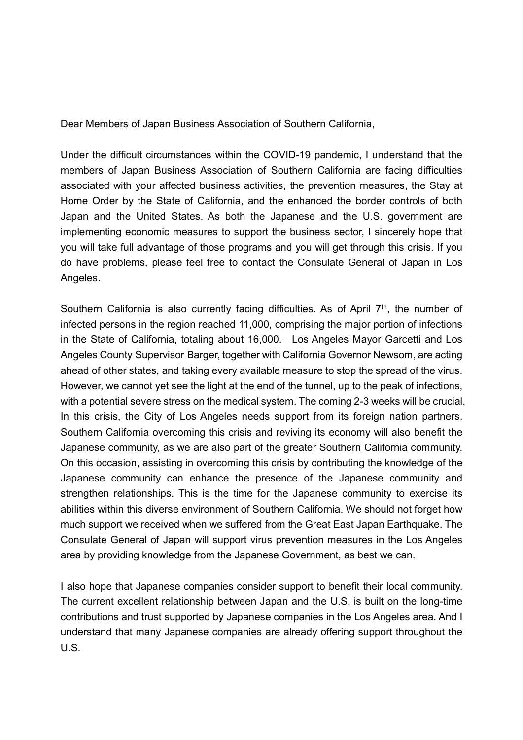Dear Members of Japan Business Association of Southern California,

Under the difficult circumstances within the COVID-19 pandemic, I understand that the members of Japan Business Association of Southern California are facing difficulties associated with your affected business activities, the prevention measures, the Stay at Home Order by the State of California, and the enhanced the border controls of both Japan and the United States. As both the Japanese and the U.S. government are implementing economic measures to support the business sector, I sincerely hope that you will take full advantage of those programs and you will get through this crisis. If you do have problems, please feel free to contact the Consulate General of Japan in Los Angeles.

Southern California is also currently facing difficulties. As of April 7<sup>th</sup>, the number of infected persons in the region reached 11,000, comprising the major portion of infections in the State of California, totaling about 16,000. Los Angeles Mayor Garcetti and Los Angeles County Supervisor Barger, together with California Governor Newsom, are acting ahead of other states, and taking every available measure to stop the spread of the virus. However, we cannot yet see the light at the end of the tunnel, up to the peak of infections, with a potential severe stress on the medical system. The coming 2-3 weeks will be crucial. In this crisis, the City of Los Angeles needs support from its foreign nation partners. Southern California overcoming this crisis and reviving its economy will also benefit the Japanese community, as we are also part of the greater Southern California community. On this occasion, assisting in overcoming this crisis by contributing the knowledge of the Japanese community can enhance the presence of the Japanese community and strengthen relationships. This is the time for the Japanese community to exercise its abilities within this diverse environment of Southern California. We should not forget how much support we received when we suffered from the Great East Japan Earthquake. The Consulate General of Japan will support virus prevention measures in the Los Angeles area by providing knowledge from the Japanese Government, as best we can.

I also hope that Japanese companies consider support to benefit their local community. The current excellent relationship between Japan and the U.S. is built on the long-time contributions and trust supported by Japanese companies in the Los Angeles area. And I understand that many Japanese companies are already offering support throughout the U.S.